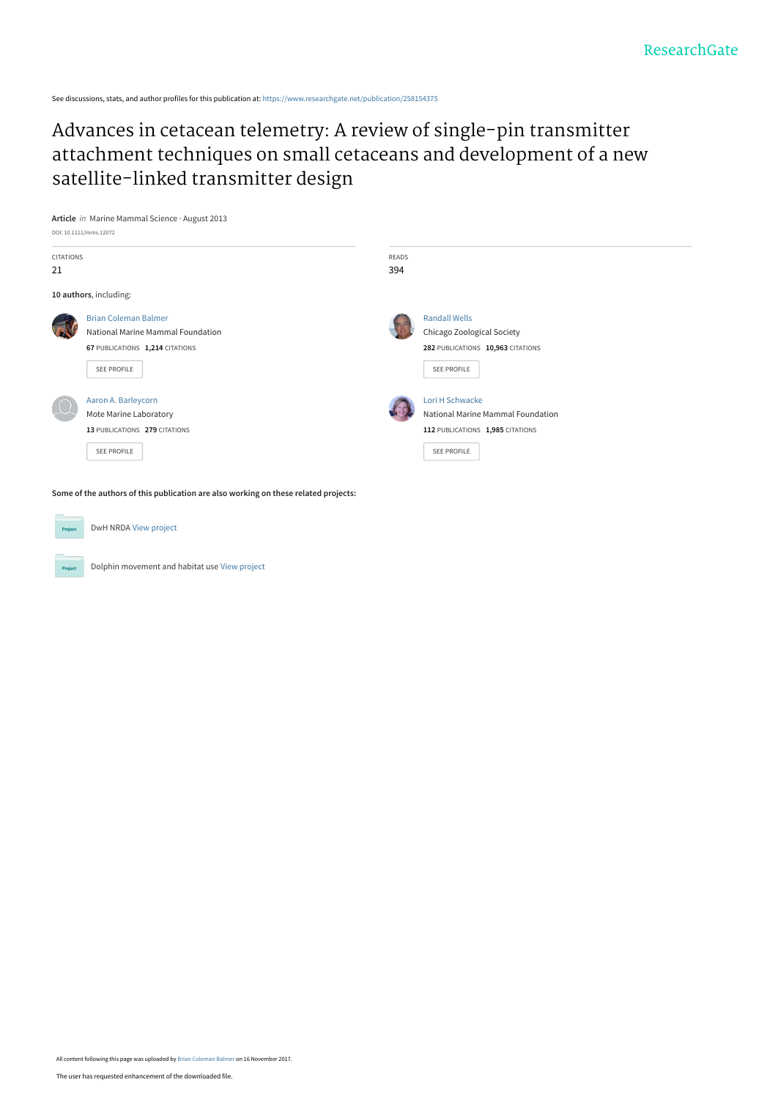See discussions, stats, and author profiles for this publication at: [https://www.researchgate.net/publication/258154375](https://www.researchgate.net/publication/258154375_Advances_in_cetacean_telemetry_A_review_of_single-pin_transmitter_attachment_techniques_on_small_cetaceans_and_development_of_a_new_satellite-linked_transmitter_design?enrichId=rgreq-a98e71e5f598064aa1f3ff5d0d63b224-XXX&enrichSource=Y292ZXJQYWdlOzI1ODE1NDM3NTtBUzo1NjEyOTQ2MzU1NDA0ODBAMTUxMDgzNDQ3NzAwNw%3D%3D&el=1_x_2&_esc=publicationCoverPdf)

# Advances in cetacean telemetry: A review of single-pin transmitter [attachment techniques on small cetaceans and development of a new](https://www.researchgate.net/publication/258154375_Advances_in_cetacean_telemetry_A_review_of_single-pin_transmitter_attachment_techniques_on_small_cetaceans_and_development_of_a_new_satellite-linked_transmitter_design?enrichId=rgreq-a98e71e5f598064aa1f3ff5d0d63b224-XXX&enrichSource=Y292ZXJQYWdlOzI1ODE1NDM3NTtBUzo1NjEyOTQ2MzU1NDA0ODBAMTUxMDgzNDQ3NzAwNw%3D%3D&el=1_x_3&_esc=publicationCoverPdf) satellite-linked transmitter design



**Some of the authors of this publication are also working on these related projects:**



Dolphin movement and habitat use [View project](https://www.researchgate.net/project/Dolphin-movement-and-habitat-use?enrichId=rgreq-a98e71e5f598064aa1f3ff5d0d63b224-XXX&enrichSource=Y292ZXJQYWdlOzI1ODE1NDM3NTtBUzo1NjEyOTQ2MzU1NDA0ODBAMTUxMDgzNDQ3NzAwNw%3D%3D&el=1_x_9&_esc=publicationCoverPdf)

DwH NRDA [View project](https://www.researchgate.net/project/DwH-NRDA?enrichId=rgreq-a98e71e5f598064aa1f3ff5d0d63b224-XXX&enrichSource=Y292ZXJQYWdlOzI1ODE1NDM3NTtBUzo1NjEyOTQ2MzU1NDA0ODBAMTUxMDgzNDQ3NzAwNw%3D%3D&el=1_x_9&_esc=publicationCoverPdf)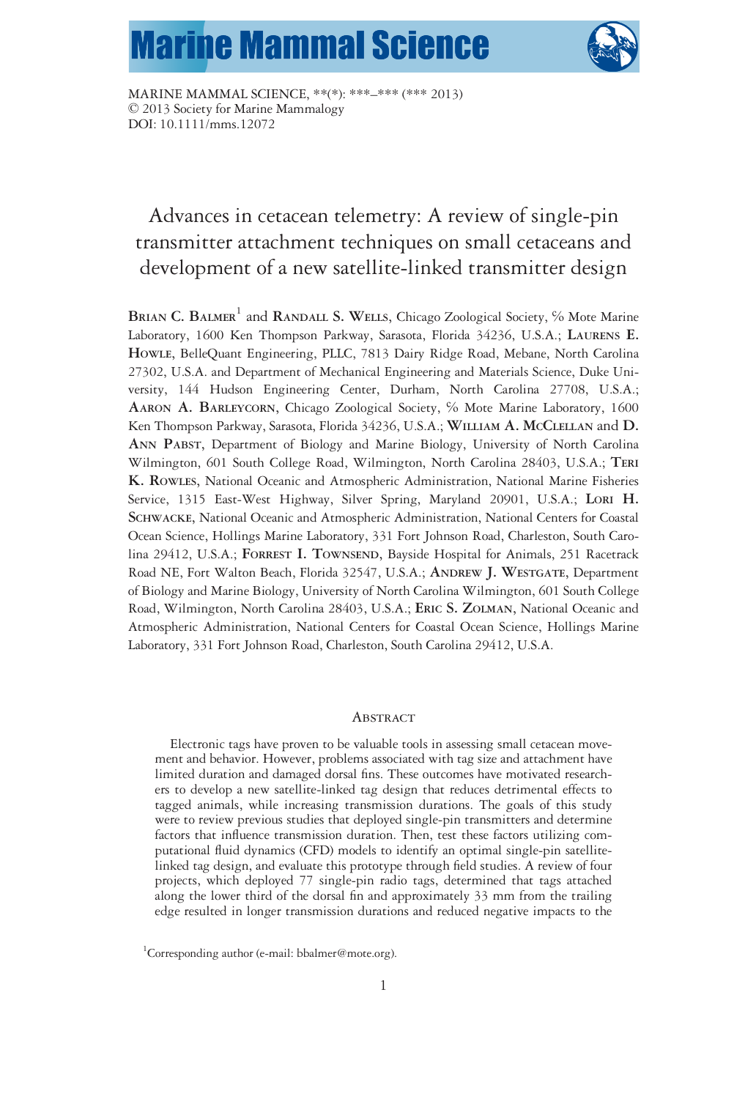# **Marine Mammal Science**



MARINE MAMMAL SCIENCE, \*\*(\*): \*\*\*–\*\*\* (\*\*\* 2013) © 2013 Society for Marine Mammalogy DOI: 10.1111/mms.12072

# Advances in cetacean telemetry: A review of single-pin transmitter attachment techniques on small cetaceans and development of a new satellite-linked transmitter design

BRIAN C. BALMER<sup>1</sup> and RANDALL S. WELLS, Chicago Zoological Society, % Mote Marine Laboratory, 1600 Ken Thompson Parkway, Sarasota, Florida 34236, U.S.A.; LAURENS E. HOWLE, BelleQuant Engineering, PLLC, 7813 Dairy Ridge Road, Mebane, North Carolina 27302, U.S.A. and Department of Mechanical Engineering and Materials Science, Duke University, 144 Hudson Engineering Center, Durham, North Carolina 27708, U.S.A.; AARON A. BARLEYCORN, Chicago Zoological Society, % Mote Marine Laboratory, 1600 Ken Thompson Parkway, Sarasota, Florida 34236, U.S.A.; WILLIAM A. MCCLELLAN and D. ANN PABST, Department of Biology and Marine Biology, University of North Carolina Wilmington, 601 South College Road, Wilmington, North Carolina 28403, U.S.A.; TERI K. ROWLES, National Oceanic and Atmospheric Administration, National Marine Fisheries Service, 1315 East-West Highway, Silver Spring, Maryland 20901, U.S.A.; LORI H. SCHWACKE, National Oceanic and Atmospheric Administration, National Centers for Coastal Ocean Science, Hollings Marine Laboratory, 331 Fort Johnson Road, Charleston, South Carolina 29412, U.S.A.; FORREST I. TOWNSEND, Bayside Hospital for Animals, 251 Racetrack Road NE, Fort Walton Beach, Florida 32547, U.S.A.; ANDREW J. WESTGATE, Department of Biology and Marine Biology, University of North Carolina Wilmington, 601 South College Road, Wilmington, North Carolina 28403, U.S.A.; ERIC S. ZOLMAN, National Oceanic and Atmospheric Administration, National Centers for Coastal Ocean Science, Hollings Marine Laboratory, 331 Fort Johnson Road, Charleston, South Carolina 29412, U.S.A.

# **ABSTRACT**

Electronic tags have proven to be valuable tools in assessing small cetacean movement and behavior. However, problems associated with tag size and attachment have limited duration and damaged dorsal fins. These outcomes have motivated researchers to develop a new satellite-linked tag design that reduces detrimental effects to tagged animals, while increasing transmission durations. The goals of this study were to review previous studies that deployed single-pin transmitters and determine factors that influence transmission duration. Then, test these factors utilizing computational fluid dynamics (CFD) models to identify an optimal single-pin satellitelinked tag design, and evaluate this prototype through field studies. A review of four projects, which deployed 77 single-pin radio tags, determined that tags attached along the lower third of the dorsal fin and approximately 33 mm from the trailing edge resulted in longer transmission durations and reduced negative impacts to the

<sup>&</sup>lt;sup>1</sup>Corresponding author (e-mail: bbalmer@mote.org).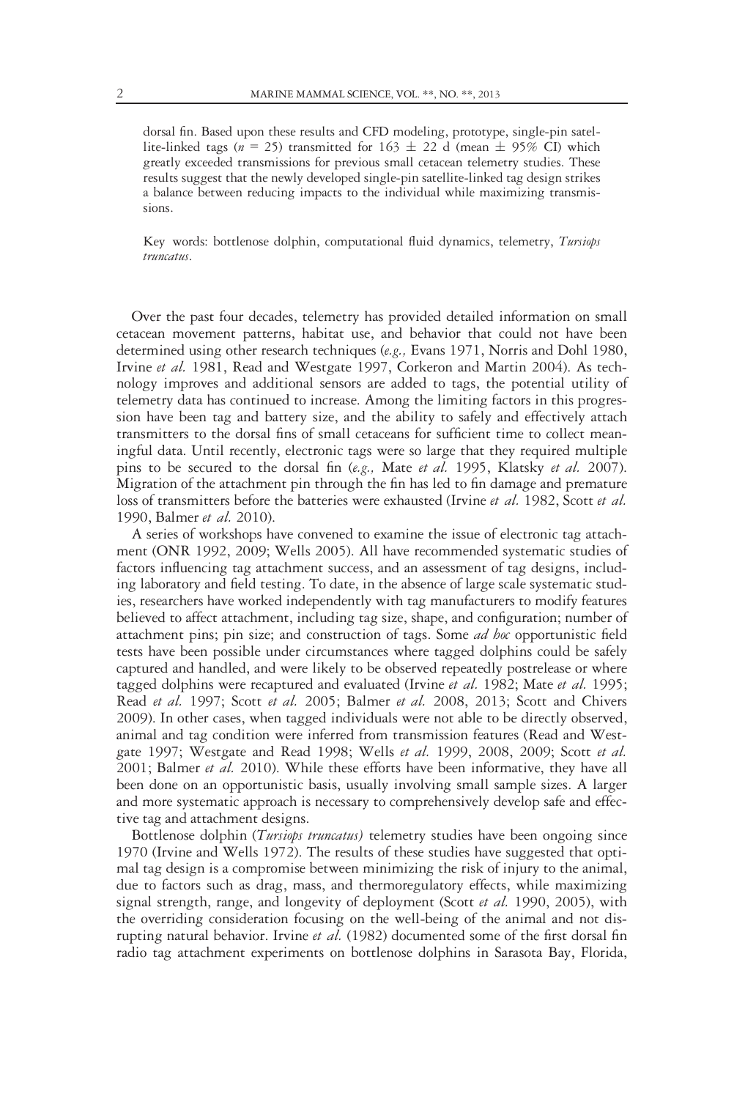dorsal fin. Based upon these results and CFD modeling, prototype, single-pin satellite-linked tags ( $n = 25$ ) transmitted for  $163 \pm 22$  d (mean  $\pm 95\%$  CI) which greatly exceeded transmissions for previous small cetacean telemetry studies. These results suggest that the newly developed single-pin satellite-linked tag design strikes a balance between reducing impacts to the individual while maximizing transmissions.

Key words: bottlenose dolphin, computational fluid dynamics, telemetry, Tursiops truncatus.

Over the past four decades, telemetry has provided detailed information on small cetacean movement patterns, habitat use, and behavior that could not have been determined using other research techniques (e.g., Evans 1971, Norris and Dohl 1980, Irvine et al. 1981, Read and Westgate 1997, Corkeron and Martin 2004). As technology improves and additional sensors are added to tags, the potential utility of telemetry data has continued to increase. Among the limiting factors in this progression have been tag and battery size, and the ability to safely and effectively attach transmitters to the dorsal fins of small cetaceans for sufficient time to collect meaningful data. Until recently, electronic tags were so large that they required multiple pins to be secured to the dorsal fin (e.g., Mate et al. 1995, Klatsky et al. 2007). Migration of the attachment pin through the fin has led to fin damage and premature loss of transmitters before the batteries were exhausted (Irvine et al. 1982, Scott et al. 1990, Balmer et al. 2010).

A series of workshops have convened to examine the issue of electronic tag attachment (ONR 1992, 2009; Wells 2005). All have recommended systematic studies of factors influencing tag attachment success, and an assessment of tag designs, including laboratory and field testing. To date, in the absence of large scale systematic studies, researchers have worked independently with tag manufacturers to modify features believed to affect attachment, including tag size, shape, and configuration; number of attachment pins; pin size; and construction of tags. Some ad hoc opportunistic field tests have been possible under circumstances where tagged dolphins could be safely captured and handled, and were likely to be observed repeatedly postrelease or where tagged dolphins were recaptured and evaluated (Irvine et al. 1982; Mate et al. 1995; Read et al. 1997; Scott et al. 2005; Balmer et al. 2008, 2013; Scott and Chivers 2009). In other cases, when tagged individuals were not able to be directly observed, animal and tag condition were inferred from transmission features (Read and Westgate 1997; Westgate and Read 1998; Wells et al. 1999, 2008, 2009; Scott et al. 2001; Balmer et al. 2010). While these efforts have been informative, they have all been done on an opportunistic basis, usually involving small sample sizes. A larger and more systematic approach is necessary to comprehensively develop safe and effective tag and attachment designs.

Bottlenose dolphin (Tursiops truncatus) telemetry studies have been ongoing since 1970 (Irvine and Wells 1972). The results of these studies have suggested that optimal tag design is a compromise between minimizing the risk of injury to the animal, due to factors such as drag, mass, and thermoregulatory effects, while maximizing signal strength, range, and longevity of deployment (Scott et al. 1990, 2005), with the overriding consideration focusing on the well-being of the animal and not disrupting natural behavior. Irvine et al. (1982) documented some of the first dorsal fin radio tag attachment experiments on bottlenose dolphins in Sarasota Bay, Florida,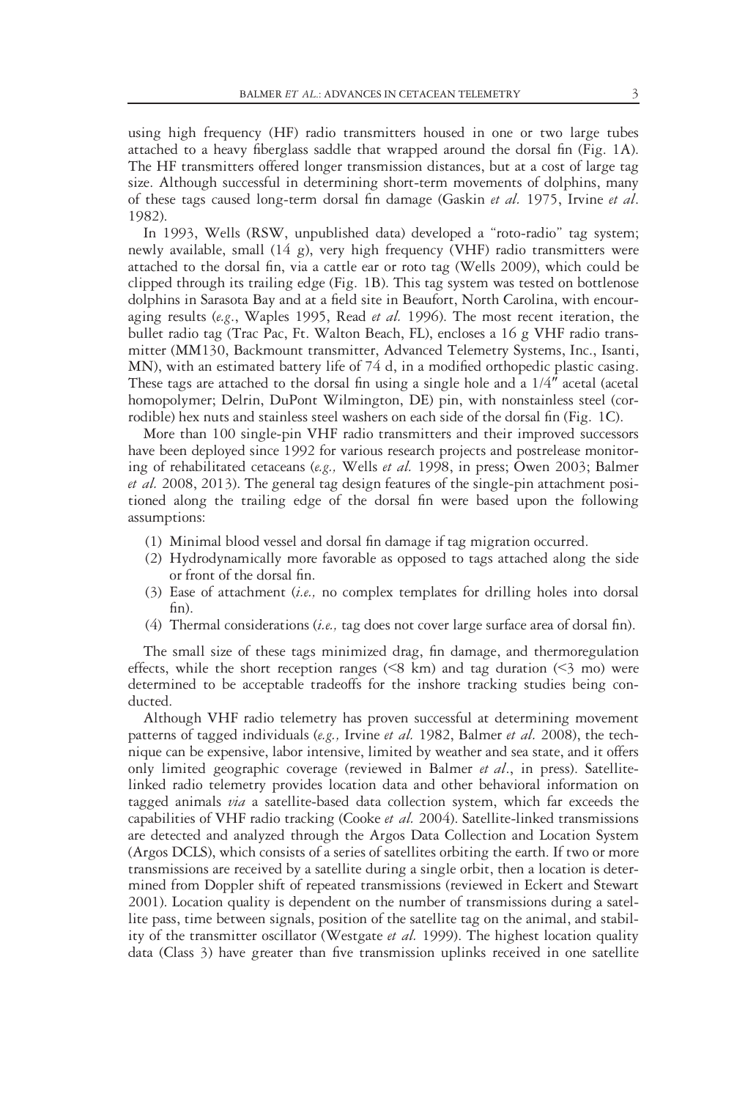using high frequency (HF) radio transmitters housed in one or two large tubes attached to a heavy fiberglass saddle that wrapped around the dorsal fin (Fig. 1A). The HF transmitters offered longer transmission distances, but at a cost of large tag size. Although successful in determining short-term movements of dolphins, many of these tags caused long-term dorsal fin damage (Gaskin et al. 1975, Irvine et al. 1982).

In 1993, Wells (RSW, unpublished data) developed a "roto-radio" tag system; newly available, small (14 g), very high frequency (VHF) radio transmitters were attached to the dorsal fin, via a cattle ear or roto tag (Wells 2009), which could be clipped through its trailing edge (Fig. 1B). This tag system was tested on bottlenose dolphins in Sarasota Bay and at a field site in Beaufort, North Carolina, with encouraging results (e.g., Waples 1995, Read *et al.* 1996). The most recent iteration, the bullet radio tag (Trac Pac, Ft. Walton Beach, FL), encloses a 16 g VHF radio transmitter (MM130, Backmount transmitter, Advanced Telemetry Systems, Inc., Isanti, MN), with an estimated battery life of 74 d, in a modified orthopedic plastic casing. These tags are attached to the dorsal fin using a single hole and a 1/4″ acetal (acetal homopolymer; Delrin, DuPont Wilmington, DE) pin, with nonstainless steel (corrodible) hex nuts and stainless steel washers on each side of the dorsal fin (Fig. 1C).

More than 100 single-pin VHF radio transmitters and their improved successors have been deployed since 1992 for various research projects and postrelease monitoring of rehabilitated cetaceans (e.g., Wells et al. 1998, in press; Owen 2003; Balmer et al. 2008, 2013). The general tag design features of the single-pin attachment positioned along the trailing edge of the dorsal fin were based upon the following assumptions:

- (1) Minimal blood vessel and dorsal fin damage if tag migration occurred.
- (2) Hydrodynamically more favorable as opposed to tags attached along the side or front of the dorsal fin.
- (3) Ease of attachment (*i.e.*, no complex templates for drilling holes into dorsal fin).
- (4) Thermal considerations (*i.e.*, tag does not cover large surface area of dorsal fin).

The small size of these tags minimized drag, fin damage, and thermoregulation effects, while the short reception ranges  $(\leq 8 \text{ km})$  and tag duration  $(\leq 3 \text{ mol})$  were determined to be acceptable tradeoffs for the inshore tracking studies being conducted.

Although VHF radio telemetry has proven successful at determining movement patterns of tagged individuals (e.g., Irvine et al. 1982, Balmer et al. 2008), the technique can be expensive, labor intensive, limited by weather and sea state, and it offers only limited geographic coverage (reviewed in Balmer *et al.*, in press). Satellitelinked radio telemetry provides location data and other behavioral information on tagged animals via a satellite-based data collection system, which far exceeds the capabilities of VHF radio tracking (Cooke et al. 2004). Satellite-linked transmissions are detected and analyzed through the Argos Data Collection and Location System (Argos DCLS), which consists of a series of satellites orbiting the earth. If two or more transmissions are received by a satellite during a single orbit, then a location is determined from Doppler shift of repeated transmissions (reviewed in Eckert and Stewart 2001). Location quality is dependent on the number of transmissions during a satellite pass, time between signals, position of the satellite tag on the animal, and stability of the transmitter oscillator (Westgate *et al.* 1999). The highest location quality data (Class 3) have greater than five transmission uplinks received in one satellite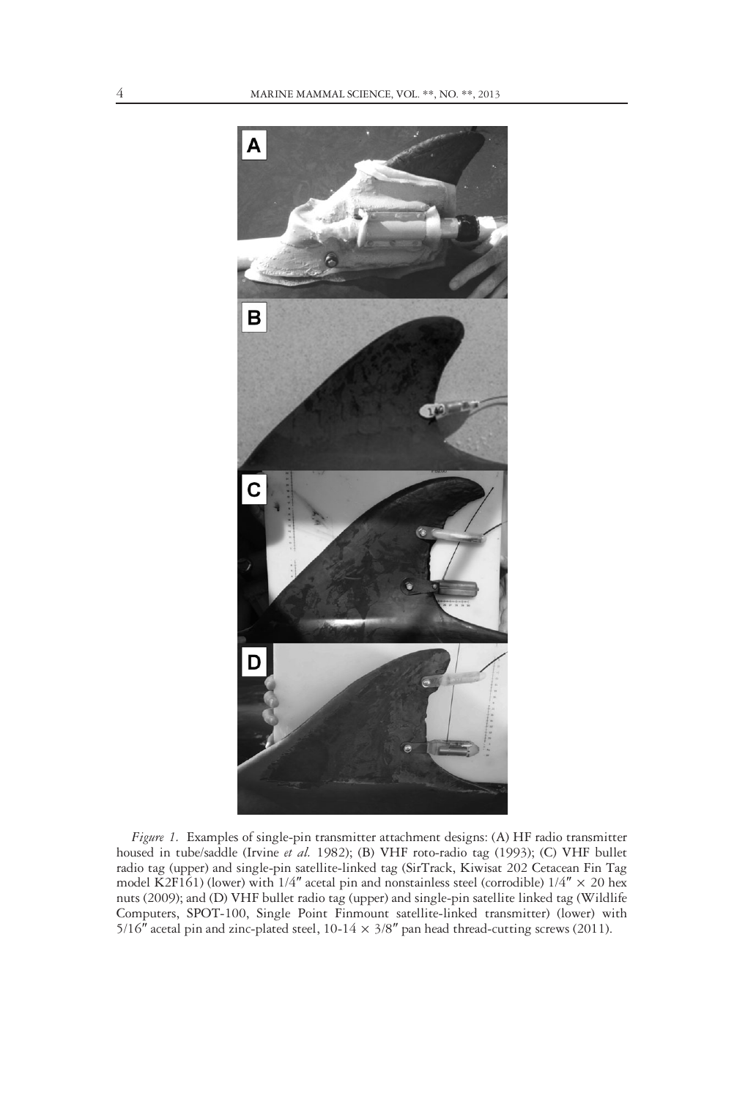

Figure 1. Examples of single-pin transmitter attachment designs: (A) HF radio transmitter housed in tube/saddle (Irvine et al. 1982); (B) VHF roto-radio tag (1993); (C) VHF bullet radio tag (upper) and single-pin satellite-linked tag (SirTrack, Kiwisat 202 Cetacean Fin Tag model K2F161) (lower) with 1/4" acetal pin and nonstainless steel (corrodible)  $1/4" \times 20$  hex nuts (2009); and (D) VHF bullet radio tag (upper) and single-pin satellite linked tag (Wildlife Computers, SPOT-100, Single Point Finmount satellite-linked transmitter) (lower) with 5/16<sup> $\dot{a}$ </sup> acetal pin and zinc-plated steel, 10-14  $\times$  3/8" pan head thread-cutting screws (2011).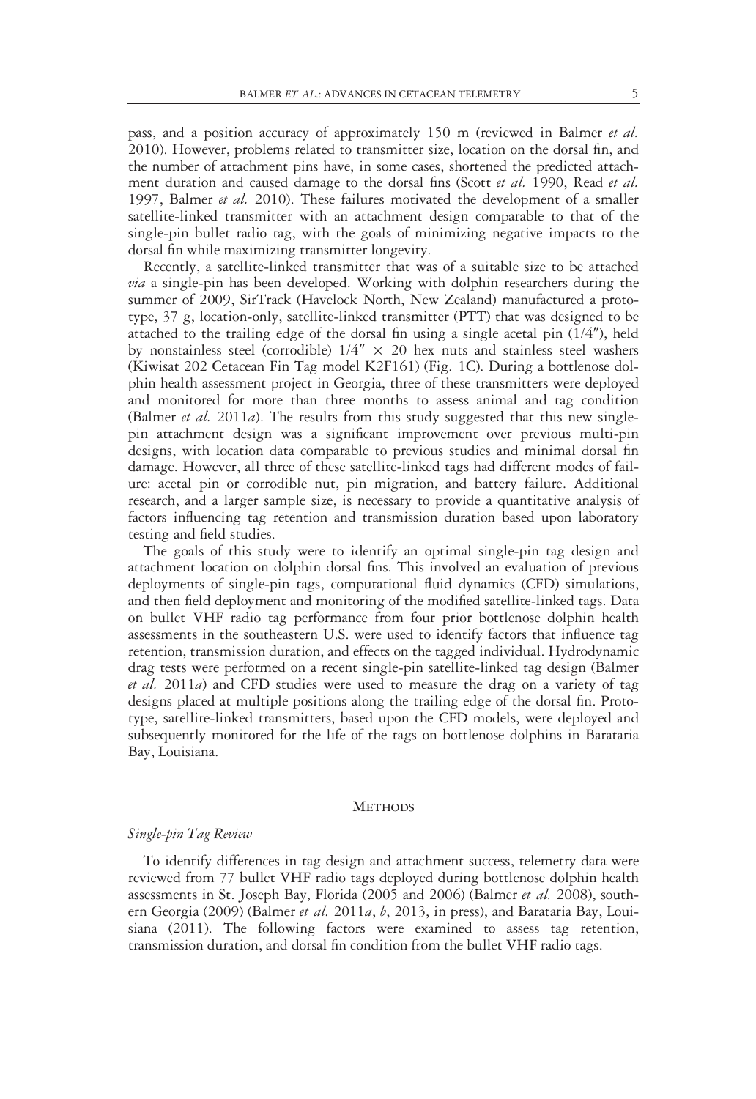pass, and a position accuracy of approximately 150 m (reviewed in Balmer et al. 2010). However, problems related to transmitter size, location on the dorsal fin, and the number of attachment pins have, in some cases, shortened the predicted attachment duration and caused damage to the dorsal fins (Scott *et al.* 1990, Read *et al.* 1997, Balmer et al. 2010). These failures motivated the development of a smaller satellite-linked transmitter with an attachment design comparable to that of the single-pin bullet radio tag, with the goals of minimizing negative impacts to the dorsal fin while maximizing transmitter longevity.

Recently, a satellite-linked transmitter that was of a suitable size to be attached via a single-pin has been developed. Working with dolphin researchers during the summer of 2009, SirTrack (Havelock North, New Zealand) manufactured a prototype, 37 g, location-only, satellite-linked transmitter (PTT) that was designed to be attached to the trailing edge of the dorsal fin using a single acetal pin  $(1/4'')$ , held by nonstainless steel (corrodible)  $1/4'' \times 20$  hex nuts and stainless steel washers (Kiwisat 202 Cetacean Fin Tag model K2F161) (Fig. 1C). During a bottlenose dolphin health assessment project in Georgia, three of these transmitters were deployed and monitored for more than three months to assess animal and tag condition (Balmer *et al.* 2011*a*). The results from this study suggested that this new singlepin attachment design was a significant improvement over previous multi-pin designs, with location data comparable to previous studies and minimal dorsal fin damage. However, all three of these satellite-linked tags had different modes of failure: acetal pin or corrodible nut, pin migration, and battery failure. Additional research, and a larger sample size, is necessary to provide a quantitative analysis of factors influencing tag retention and transmission duration based upon laboratory testing and field studies.

The goals of this study were to identify an optimal single-pin tag design and attachment location on dolphin dorsal fins. This involved an evaluation of previous deployments of single-pin tags, computational fluid dynamics (CFD) simulations, and then field deployment and monitoring of the modified satellite-linked tags. Data on bullet VHF radio tag performance from four prior bottlenose dolphin health assessments in the southeastern U.S. were used to identify factors that influence tag retention, transmission duration, and effects on the tagged individual. Hydrodynamic drag tests were performed on a recent single-pin satellite-linked tag design (Balmer et al. 2011a) and CFD studies were used to measure the drag on a variety of tag designs placed at multiple positions along the trailing edge of the dorsal fin. Prototype, satellite-linked transmitters, based upon the CFD models, were deployed and subsequently monitored for the life of the tags on bottlenose dolphins in Barataria Bay, Louisiana.

#### **METHODS**

# Single-pin Tag Review

To identify differences in tag design and attachment success, telemetry data were reviewed from 77 bullet VHF radio tags deployed during bottlenose dolphin health assessments in St. Joseph Bay, Florida (2005 and 2006) (Balmer et al. 2008), southern Georgia (2009) (Balmer et al. 2011a,  $b$ , 2013, in press), and Barataria Bay, Louisiana (2011). The following factors were examined to assess tag retention, transmission duration, and dorsal fin condition from the bullet VHF radio tags.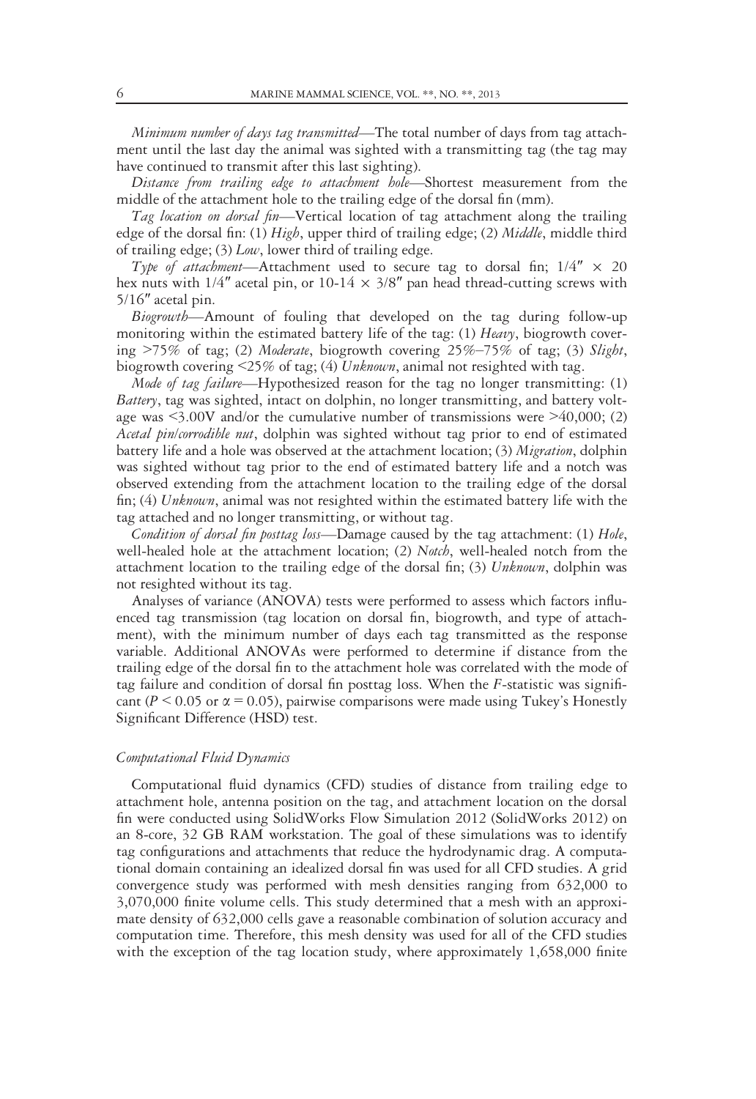Minimum number of days tag transmitted—The total number of days from tag attachment until the last day the animal was sighted with a transmitting tag (the tag may have continued to transmit after this last sighting).

Distance from trailing edge to attachment hole—Shortest measurement from the middle of the attachment hole to the trailing edge of the dorsal fin (mm).

Tag location on dorsal fin—Vertical location of tag attachment along the trailing edge of the dorsal fin: (1) High, upper third of trailing edge; (2) Middle, middle third of trailing edge;  $(3)$  Low, lower third of trailing edge.

Type of attachment—Attachment used to secure tag to dorsal fin;  $1/4'' \times 20$ hex nuts with  $1/4''$  acetal pin, or  $10-14 \times 3/8''$  pan head thread-cutting screws with 5/16″ acetal pin.

Biogrowth—Amount of fouling that developed on the tag during follow-up monitoring within the estimated battery life of the tag: (1) Heavy, biogrowth covering >75% of tag; (2) Moderate, biogrowth covering 25%-75% of tag; (3) Slight, biogrowth covering <25% of tag; (4) Unknown, animal not resighted with tag.

Mode of tag failure—Hypothesized reason for the tag no longer transmitting: (1) Battery, tag was sighted, intact on dolphin, no longer transmitting, and battery voltage was  $\leq 3.00V$  and/or the cumulative number of transmissions were  $\geq 40,000$ ; (2) Acetal pin/corrodible nut, dolphin was sighted without tag prior to end of estimated battery life and a hole was observed at the attachment location; (3) Migration, dolphin was sighted without tag prior to the end of estimated battery life and a notch was observed extending from the attachment location to the trailing edge of the dorsal fin; (4) Unknown, animal was not resighted within the estimated battery life with the tag attached and no longer transmitting, or without tag.

Condition of dorsal fin posttag loss—Damage caused by the tag attachment: (1) Hole, well-healed hole at the attachment location; (2) Notch, well-healed notch from the attachment location to the trailing edge of the dorsal fin; (3) Unknown, dolphin was not resighted without its tag.

Analyses of variance (ANOVA) tests were performed to assess which factors influenced tag transmission (tag location on dorsal fin, biogrowth, and type of attachment), with the minimum number of days each tag transmitted as the response variable. Additional ANOVAs were performed to determine if distance from the trailing edge of the dorsal fin to the attachment hole was correlated with the mode of tag failure and condition of dorsal fin posttag loss. When the  $F$ -statistic was significant ( $P \le 0.05$  or  $\alpha = 0.05$ ), pairwise comparisons were made using Tukey's Honestly Significant Difference (HSD) test.

### Computational Fluid Dynamics

Computational fluid dynamics (CFD) studies of distance from trailing edge to attachment hole, antenna position on the tag, and attachment location on the dorsal fin were conducted using SolidWorks Flow Simulation 2012 (SolidWorks 2012) on an 8-core, 32 GB RAM workstation. The goal of these simulations was to identify tag configurations and attachments that reduce the hydrodynamic drag. A computational domain containing an idealized dorsal fin was used for all CFD studies. A grid convergence study was performed with mesh densities ranging from 632,000 to 3,070,000 finite volume cells. This study determined that a mesh with an approximate density of 632,000 cells gave a reasonable combination of solution accuracy and computation time. Therefore, this mesh density was used for all of the CFD studies with the exception of the tag location study, where approximately 1,658,000 finite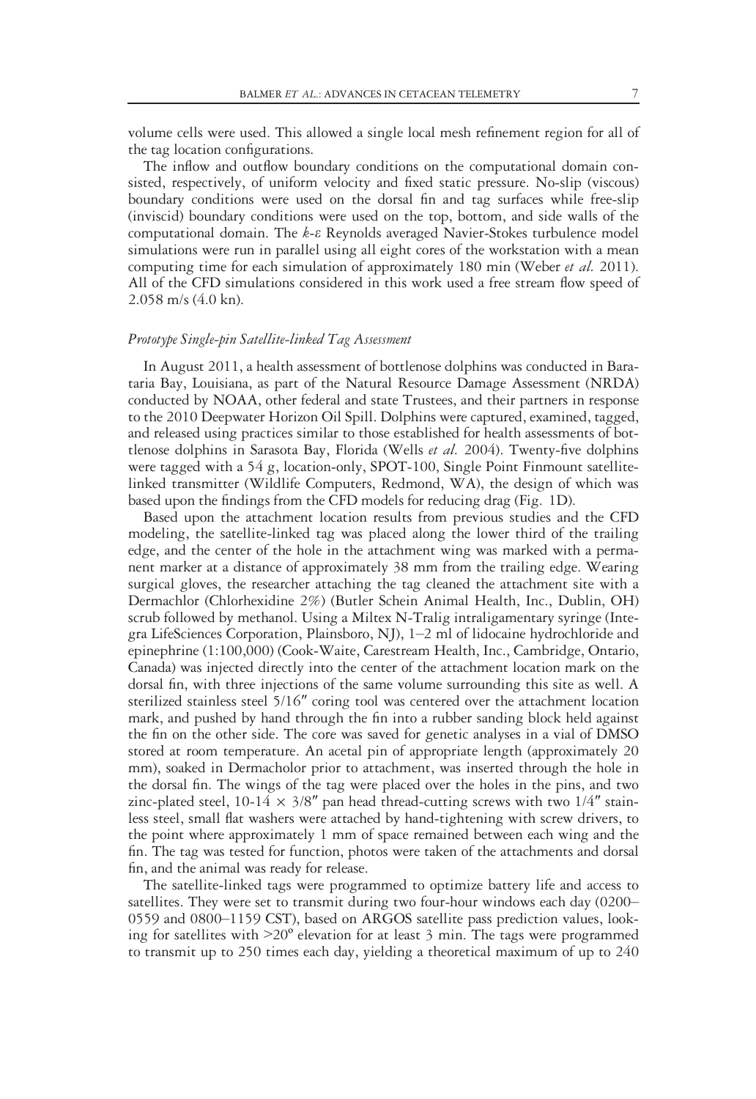volume cells were used. This allowed a single local mesh refinement region for all of the tag location configurations.

The inflow and outflow boundary conditions on the computational domain consisted, respectively, of uniform velocity and fixed static pressure. No-slip (viscous) boundary conditions were used on the dorsal fin and tag surfaces while free-slip (inviscid) boundary conditions were used on the top, bottom, and side walls of the computational domain. The  $k$ - $\varepsilon$  Reynolds averaged Navier-Stokes turbulence model simulations were run in parallel using all eight cores of the workstation with a mean computing time for each simulation of approximately 180 min (Weber *et al.* 2011). All of the CFD simulations considered in this work used a free stream flow speed of 2.058 m/s (4.0 kn).

#### Prototype Single-pin Satellite-linked Tag Assessment

In August 2011, a health assessment of bottlenose dolphins was conducted in Barataria Bay, Louisiana, as part of the Natural Resource Damage Assessment (NRDA) conducted by NOAA, other federal and state Trustees, and their partners in response to the 2010 Deepwater Horizon Oil Spill. Dolphins were captured, examined, tagged, and released using practices similar to those established for health assessments of bottlenose dolphins in Sarasota Bay, Florida (Wells et al. 2004). Twenty-five dolphins were tagged with a 54 g, location-only, SPOT-100, Single Point Finmount satellitelinked transmitter (Wildlife Computers, Redmond, WA), the design of which was based upon the findings from the CFD models for reducing drag (Fig. 1D).

Based upon the attachment location results from previous studies and the CFD modeling, the satellite-linked tag was placed along the lower third of the trailing edge, and the center of the hole in the attachment wing was marked with a permanent marker at a distance of approximately 38 mm from the trailing edge. Wearing surgical gloves, the researcher attaching the tag cleaned the attachment site with a Dermachlor (Chlorhexidine 2%) (Butler Schein Animal Health, Inc., Dublin, OH) scrub followed by methanol. Using a Miltex N-Tralig intraligamentary syringe (Integra LifeSciences Corporation, Plainsboro, NJ), 1–2 ml of lidocaine hydrochloride and epinephrine (1:100,000) (Cook-Waite, Carestream Health, Inc., Cambridge, Ontario, Canada) was injected directly into the center of the attachment location mark on the dorsal fin, with three injections of the same volume surrounding this site as well. A sterilized stainless steel 5/16″ coring tool was centered over the attachment location mark, and pushed by hand through the fin into a rubber sanding block held against the fin on the other side. The core was saved for genetic analyses in a vial of DMSO stored at room temperature. An acetal pin of appropriate length (approximately 20 mm), soaked in Dermacholor prior to attachment, was inserted through the hole in the dorsal fin. The wings of the tag were placed over the holes in the pins, and two zinc-plated steel,  $10-14 \times 3/8''$  pan head thread-cutting screws with two  $1/4''$  stainless steel, small flat washers were attached by hand-tightening with screw drivers, to the point where approximately 1 mm of space remained between each wing and the fin. The tag was tested for function, photos were taken of the attachments and dorsal fin, and the animal was ready for release.

The satellite-linked tags were programmed to optimize battery life and access to satellites. They were set to transmit during two four-hour windows each day (0200– 0559 and 0800–1159 CST), based on ARGOS satellite pass prediction values, looking for satellites with  $>20^{\circ}$  elevation for at least 3 min. The tags were programmed to transmit up to 250 times each day, yielding a theoretical maximum of up to 240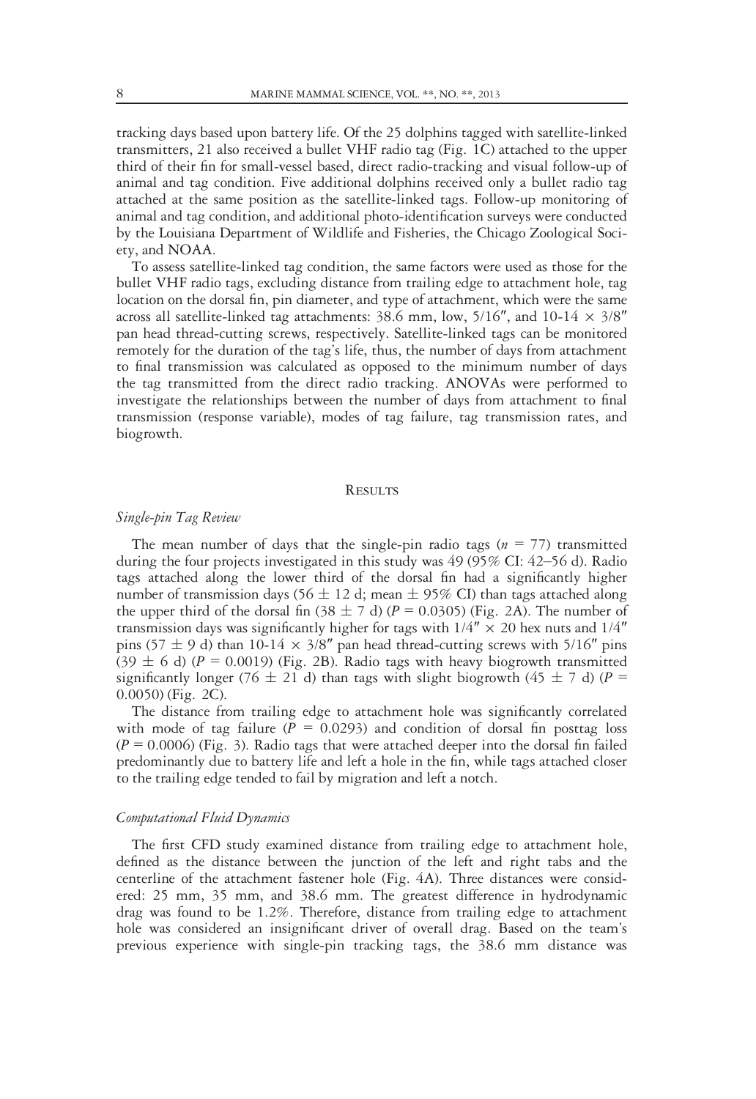tracking days based upon battery life. Of the 25 dolphins tagged with satellite-linked transmitters, 21 also received a bullet VHF radio tag (Fig. 1C) attached to the upper third of their fin for small-vessel based, direct radio-tracking and visual follow-up of animal and tag condition. Five additional dolphins received only a bullet radio tag attached at the same position as the satellite-linked tags. Follow-up monitoring of animal and tag condition, and additional photo-identification surveys were conducted by the Louisiana Department of Wildlife and Fisheries, the Chicago Zoological Society, and NOAA.

To assess satellite-linked tag condition, the same factors were used as those for the bullet VHF radio tags, excluding distance from trailing edge to attachment hole, tag location on the dorsal fin, pin diameter, and type of attachment, which were the same across all satellite-linked tag attachments: 38.6 mm, low, 5/16", and 10-14  $\times$  3/8" pan head thread-cutting screws, respectively. Satellite-linked tags can be monitored remotely for the duration of the tag's life, thus, the number of days from attachment to final transmission was calculated as opposed to the minimum number of days the tag transmitted from the direct radio tracking. ANOVAs were performed to investigate the relationships between the number of days from attachment to final transmission (response variable), modes of tag failure, tag transmission rates, and biogrowth.

#### **RESULTS**

## Single-pin Tag Review

The mean number of days that the single-pin radio tags ( $n = 77$ ) transmitted during the four projects investigated in this study was 49 (95% CI: 42–56 d). Radio tags attached along the lower third of the dorsal fin had a significantly higher number of transmission days (56  $\pm$  12 d; mean  $\pm$  95% CI) than tags attached along the upper third of the dorsal fin (38  $\pm$  7 d) (P = 0.0305) (Fig. 2A). The number of transmission days was significantly higher for tags with  $1/4'' \times 20$  hex nuts and  $1/4''$ pins (57  $\pm$  9 d) than 10-14  $\times$  3/8" pan head thread-cutting screws with 5/16" pins (39  $\pm$  6 d) (P = 0.0019) (Fig. 2B). Radio tags with heavy biogrowth transmitted significantly longer (76  $\pm$  21 d) than tags with slight biogrowth (45  $\pm$  7 d) (P = 0.0050) (Fig. 2C).

The distance from trailing edge to attachment hole was significantly correlated with mode of tag failure ( $P = 0.0293$ ) and condition of dorsal fin posttag loss  $(P = 0.0006)$  (Fig. 3). Radio tags that were attached deeper into the dorsal fin failed predominantly due to battery life and left a hole in the fin, while tags attached closer to the trailing edge tended to fail by migration and left a notch.

#### Computational Fluid Dynamics

The first CFD study examined distance from trailing edge to attachment hole, defined as the distance between the junction of the left and right tabs and the centerline of the attachment fastener hole (Fig. 4A). Three distances were considered: 25 mm, 35 mm, and 38.6 mm. The greatest difference in hydrodynamic drag was found to be 1.2%. Therefore, distance from trailing edge to attachment hole was considered an insignificant driver of overall drag. Based on the team's previous experience with single-pin tracking tags, the 38.6 mm distance was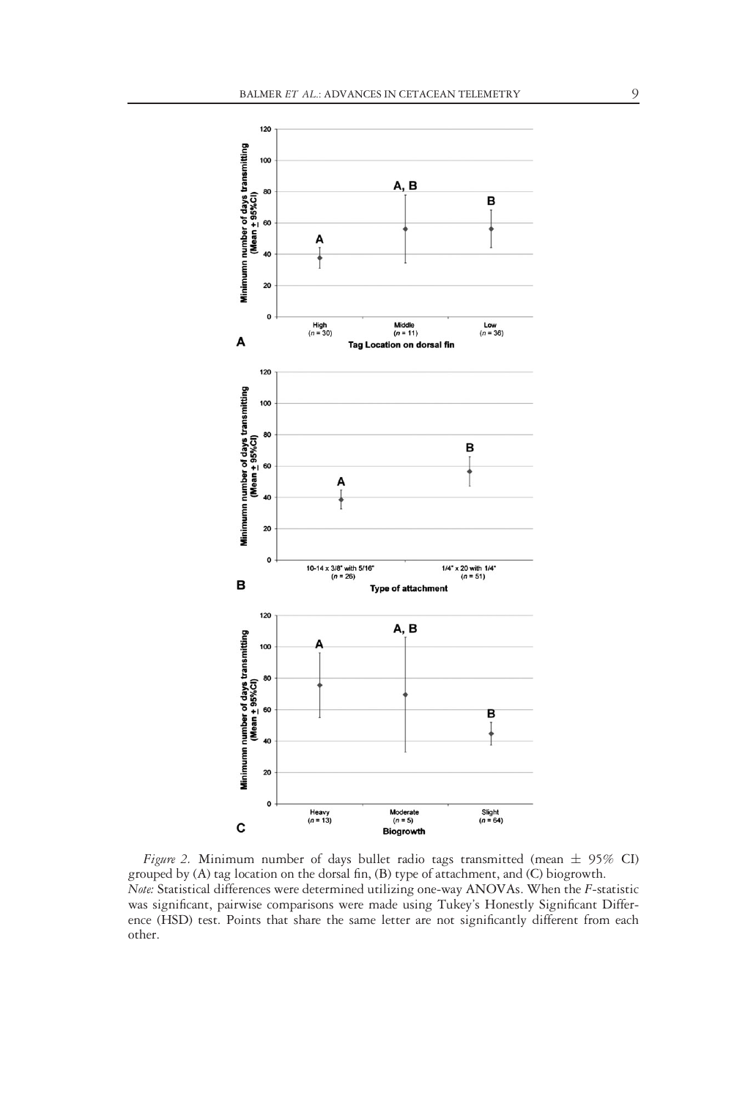

Figure 2. Minimum number of days bullet radio tags transmitted (mean  $\pm$  95% CI) grouped by (A) tag location on the dorsal fin, (B) type of attachment, and (C) biogrowth. Note: Statistical differences were determined utilizing one-way ANOVAs. When the F-statistic was significant, pairwise comparisons were made using Tukey's Honestly Significant Difference (HSD) test. Points that share the same letter are not significantly different from each other.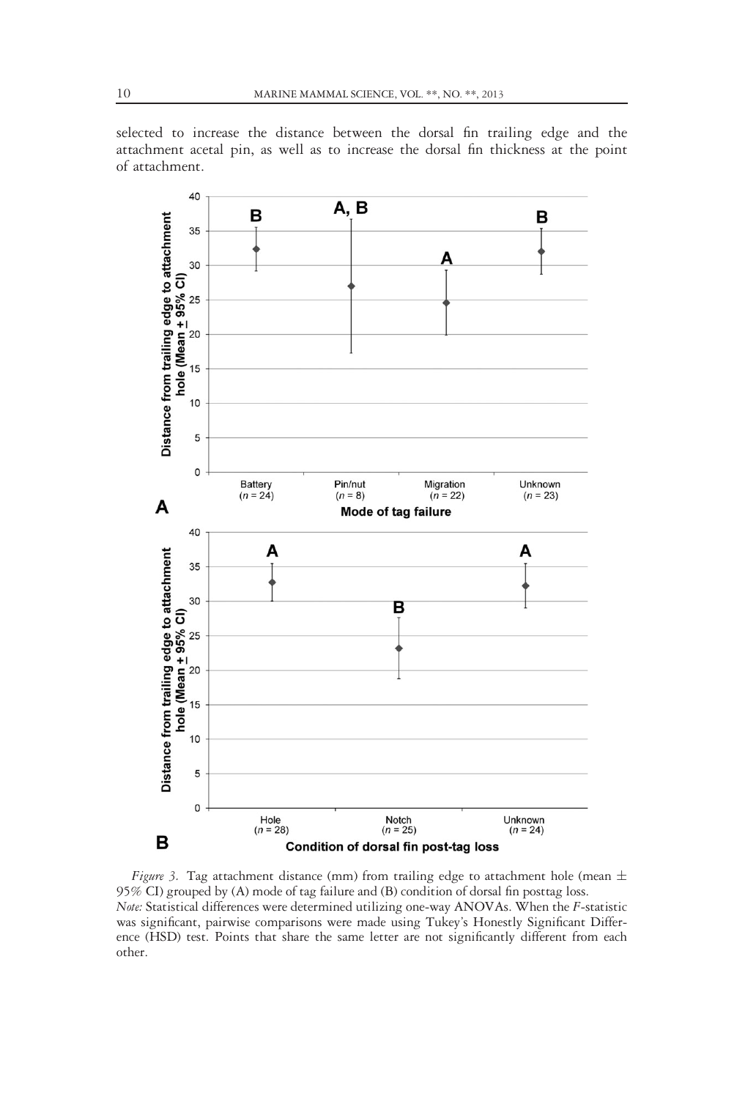



Figure 3. Tag attachment distance (mm) from trailing edge to attachment hole (mean  $\pm$ 95% CI) grouped by (A) mode of tag failure and (B) condition of dorsal fin posttag loss. Note: Statistical differences were determined utilizing one-way ANOVAs. When the F-statistic was significant, pairwise comparisons were made using Tukey's Honestly Significant Difference (HSD) test. Points that share the same letter are not significantly different from each other.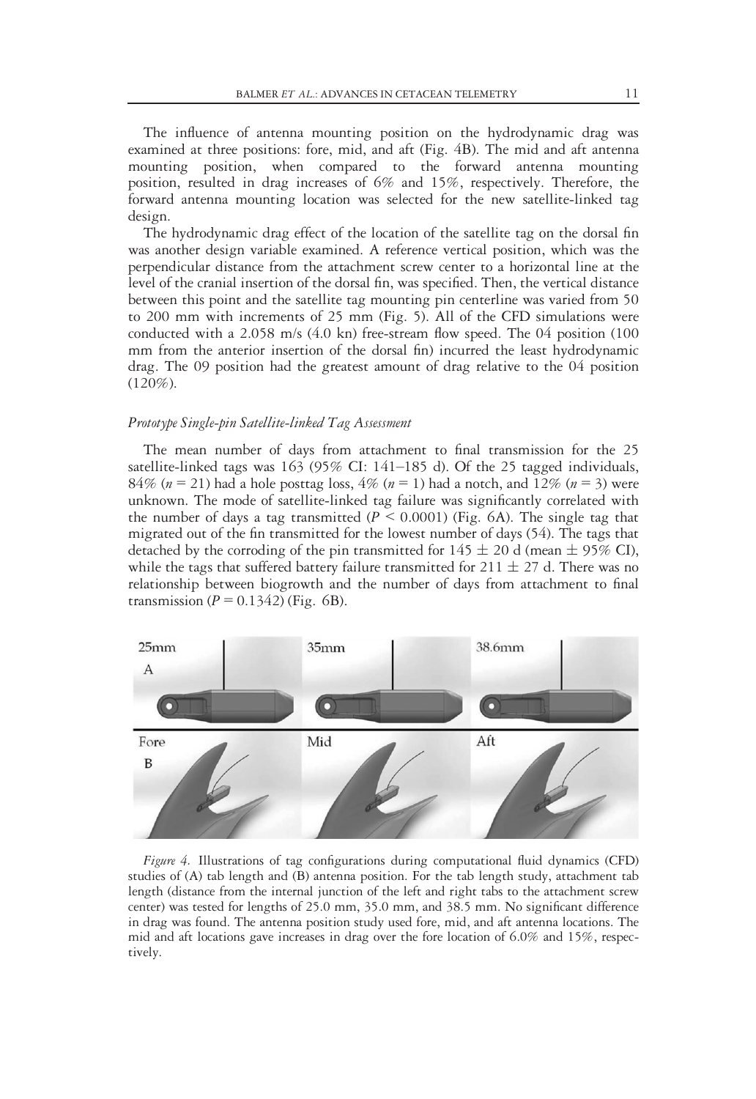The influence of antenna mounting position on the hydrodynamic drag was examined at three positions: fore, mid, and aft (Fig. 4B). The mid and aft antenna mounting position, when compared to the forward antenna mounting position, resulted in drag increases of 6% and 15%, respectively. Therefore, the forward antenna mounting location was selected for the new satellite-linked tag design.

The hydrodynamic drag effect of the location of the satellite tag on the dorsal fin was another design variable examined. A reference vertical position, which was the perpendicular distance from the attachment screw center to a horizontal line at the level of the cranial insertion of the dorsal fin, was specified. Then, the vertical distance between this point and the satellite tag mounting pin centerline was varied from 50 to 200 mm with increments of 25 mm (Fig. 5). All of the CFD simulations were conducted with a 2.058 m/s (4.0 kn) free-stream flow speed. The 04 position (100 mm from the anterior insertion of the dorsal fin) incurred the least hydrodynamic drag. The 09 position had the greatest amount of drag relative to the 04 position (120%).

#### Prototype Single-pin Satellite-linked Tag Assessment

The mean number of days from attachment to final transmission for the 25 satellite-linked tags was  $163$  (95% CI:  $141-185$  d). Of the 25 tagged individuals, 84% ( $n = 21$ ) had a hole posttag loss, 4% ( $n = 1$ ) had a notch, and 12% ( $n = 3$ ) were unknown. The mode of satellite-linked tag failure was significantly correlated with the number of days a tag transmitted ( $P \le 0.0001$ ) (Fig. 6A). The single tag that migrated out of the fin transmitted for the lowest number of days (54). The tags that detached by the corroding of the pin transmitted for  $145 \pm 20$  d (mean  $\pm$  95% CI), while the tags that suffered battery failure transmitted for  $211 \pm 27$  d. There was no relationship between biogrowth and the number of days from attachment to final transmission ( $P = 0.1342$ ) (Fig. 6B).



Figure 4. Illustrations of tag configurations during computational fluid dynamics (CFD) studies of (A) tab length and (B) antenna position. For the tab length study, attachment tab length (distance from the internal junction of the left and right tabs to the attachment screw center) was tested for lengths of 25.0 mm, 35.0 mm, and 38.5 mm. No significant difference in drag was found. The antenna position study used fore, mid, and aft antenna locations. The mid and aft locations gave increases in drag over the fore location of  $6.0\%$  and  $15\%$ , respectively.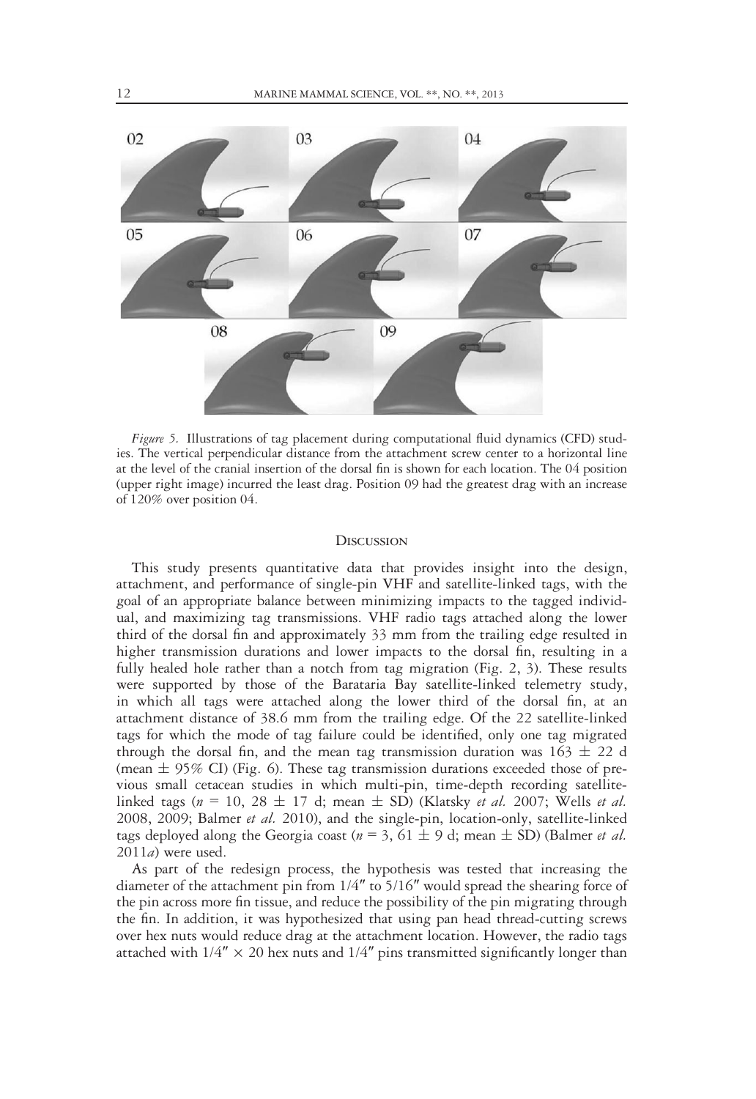

Figure 5. Illustrations of tag placement during computational fluid dynamics (CFD) studies. The vertical perpendicular distance from the attachment screw center to a horizontal line at the level of the cranial insertion of the dorsal fin is shown for each location. The 04 position (upper right image) incurred the least drag. Position 09 had the greatest drag with an increase of 120% over position 04.

#### **DISCUSSION**

This study presents quantitative data that provides insight into the design, attachment, and performance of single-pin VHF and satellite-linked tags, with the goal of an appropriate balance between minimizing impacts to the tagged individual, and maximizing tag transmissions. VHF radio tags attached along the lower third of the dorsal fin and approximately 33 mm from the trailing edge resulted in higher transmission durations and lower impacts to the dorsal fin, resulting in a fully healed hole rather than a notch from tag migration (Fig. 2, 3). These results were supported by those of the Barataria Bay satellite-linked telemetry study, in which all tags were attached along the lower third of the dorsal fin, at an attachment distance of 38.6 mm from the trailing edge. Of the 22 satellite-linked tags for which the mode of tag failure could be identified, only one tag migrated through the dorsal fin, and the mean tag transmission duration was  $163 \pm 22$  d (mean  $\pm$  95% CI) (Fig. 6). These tag transmission durations exceeded those of previous small cetacean studies in which multi-pin, time-depth recording satellitelinked tags ( $n = 10$ ,  $28 \pm 17$  d; mean  $\pm$  SD) (Klatsky *et al.* 2007; Wells *et al.* 2008, 2009; Balmer et al. 2010), and the single-pin, location-only, satellite-linked tags deployed along the Georgia coast ( $n = 3$ , 61  $\pm$  9 d; mean  $\pm$  SD) (Balmer *et al.*  $2011a$ ) were used.

As part of the redesign process, the hypothesis was tested that increasing the diameter of the attachment pin from 1/4″ to 5/16″ would spread the shearing force of the pin across more fin tissue, and reduce the possibility of the pin migrating through the fin. In addition, it was hypothesized that using pan head thread-cutting screws over hex nuts would reduce drag at the attachment location. However, the radio tags attached with  $1/4'' \times 20$  hex nuts and  $1/4''$  pins transmitted significantly longer than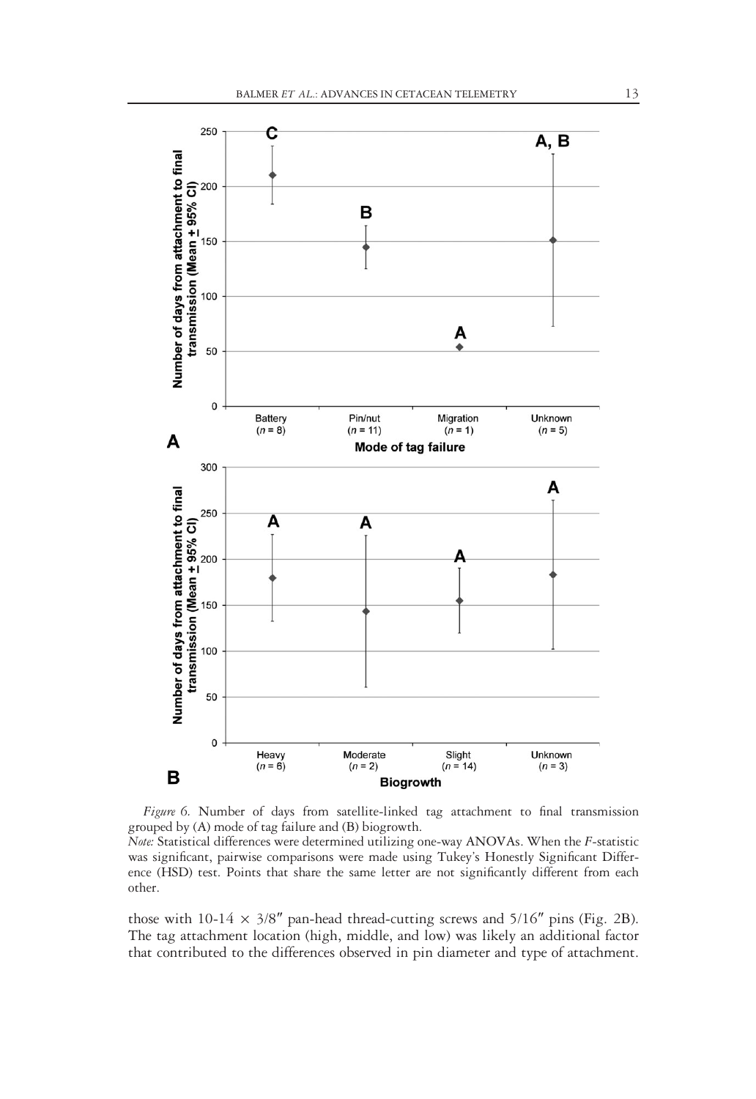

Figure 6. Number of days from satellite-linked tag attachment to final transmission grouped by (A) mode of tag failure and (B) biogrowth.

Note: Statistical differences were determined utilizing one-way ANOVAs. When the F-statistic was significant, pairwise comparisons were made using Tukey's Honestly Significant Difference (HSD) test. Points that share the same letter are not significantly different from each other.

those with  $10-14 \times 3/8''$  pan-head thread-cutting screws and  $5/16''$  pins (Fig. 2B). The tag attachment location (high, middle, and low) was likely an additional factor that contributed to the differences observed in pin diameter and type of attachment.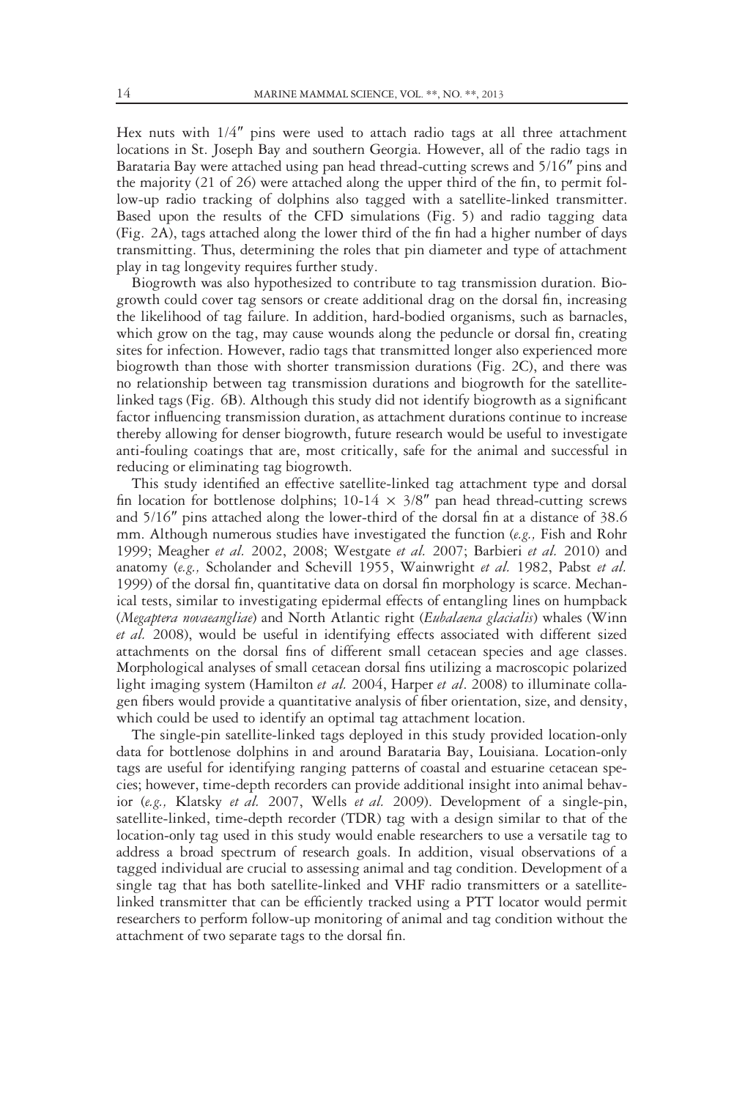Hex nuts with 1/4″ pins were used to attach radio tags at all three attachment locations in St. Joseph Bay and southern Georgia. However, all of the radio tags in Barataria Bay were attached using pan head thread-cutting screws and 5/16″ pins and the majority (21 of 26) were attached along the upper third of the fin, to permit follow-up radio tracking of dolphins also tagged with a satellite-linked transmitter. Based upon the results of the CFD simulations (Fig. 5) and radio tagging data (Fig. 2A), tags attached along the lower third of the fin had a higher number of days transmitting. Thus, determining the roles that pin diameter and type of attachment play in tag longevity requires further study.

Biogrowth was also hypothesized to contribute to tag transmission duration. Biogrowth could cover tag sensors or create additional drag on the dorsal fin, increasing the likelihood of tag failure. In addition, hard-bodied organisms, such as barnacles, which grow on the tag, may cause wounds along the peduncle or dorsal fin, creating sites for infection. However, radio tags that transmitted longer also experienced more biogrowth than those with shorter transmission durations (Fig. 2C), and there was no relationship between tag transmission durations and biogrowth for the satellitelinked tags (Fig. 6B). Although this study did not identify biogrowth as a significant factor influencing transmission duration, as attachment durations continue to increase thereby allowing for denser biogrowth, future research would be useful to investigate anti-fouling coatings that are, most critically, safe for the animal and successful in reducing or eliminating tag biogrowth.

This study identified an effective satellite-linked tag attachment type and dorsal fin location for bottlenose dolphins;  $10-14 \times 3/8''$  pan head thread-cutting screws and 5/16″ pins attached along the lower-third of the dorsal fin at a distance of 38.6 mm. Although numerous studies have investigated the function  $(e, g, Fish$  and Rohr 1999; Meagher et al. 2002, 2008; Westgate et al. 2007; Barbieri et al. 2010) and anatomy (e.g., Scholander and Schevill 1955, Wainwright et al. 1982, Pabst et al. 1999) of the dorsal fin, quantitative data on dorsal fin morphology is scarce. Mechanical tests, similar to investigating epidermal effects of entangling lines on humpback (Megaptera novaeangliae) and North Atlantic right (Eubalaena glacialis) whales (Winn et al. 2008), would be useful in identifying effects associated with different sized attachments on the dorsal fins of different small cetacean species and age classes. Morphological analyses of small cetacean dorsal fins utilizing a macroscopic polarized light imaging system (Hamilton et al. 2004, Harper et al. 2008) to illuminate collagen fibers would provide a quantitative analysis of fiber orientation, size, and density, which could be used to identify an optimal tag attachment location.

The single-pin satellite-linked tags deployed in this study provided location-only data for bottlenose dolphins in and around Barataria Bay, Louisiana. Location-only tags are useful for identifying ranging patterns of coastal and estuarine cetacean species; however, time-depth recorders can provide additional insight into animal behavior (e.g., Klatsky et al. 2007, Wells et al. 2009). Development of a single-pin, satellite-linked, time-depth recorder (TDR) tag with a design similar to that of the location-only tag used in this study would enable researchers to use a versatile tag to address a broad spectrum of research goals. In addition, visual observations of a tagged individual are crucial to assessing animal and tag condition. Development of a single tag that has both satellite-linked and VHF radio transmitters or a satellitelinked transmitter that can be efficiently tracked using a PTT locator would permit researchers to perform follow-up monitoring of animal and tag condition without the attachment of two separate tags to the dorsal fin.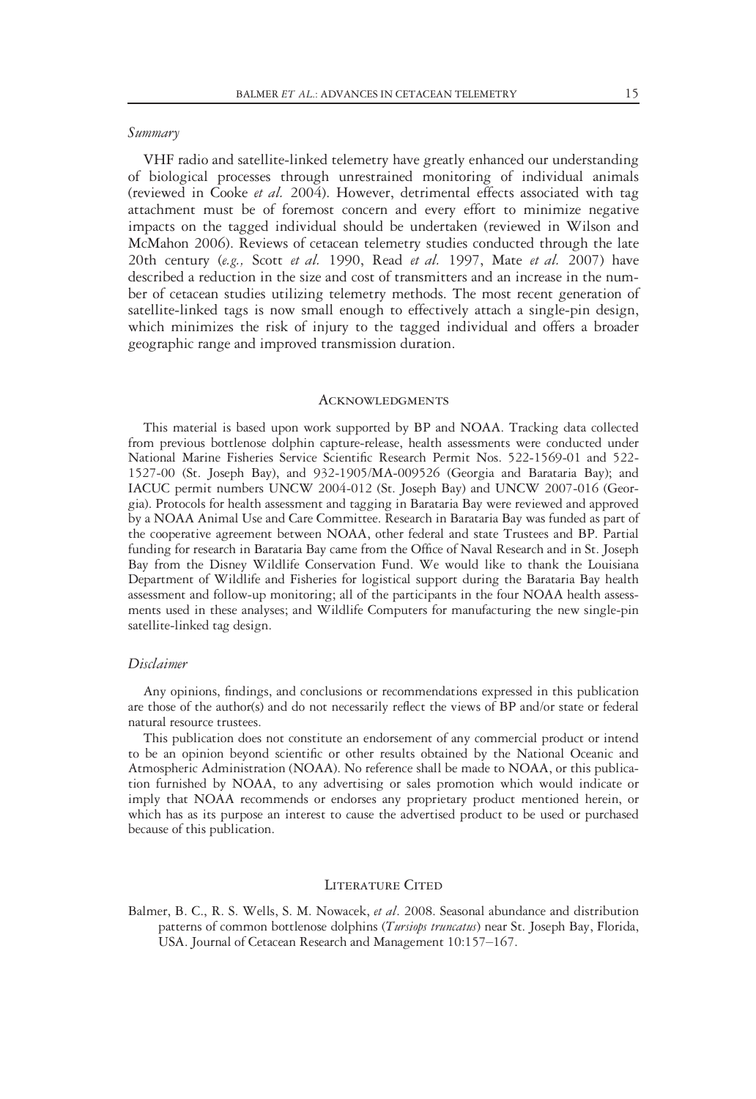# Summary

VHF radio and satellite-linked telemetry have greatly enhanced our understanding of biological processes through unrestrained monitoring of individual animals (reviewed in Cooke et al. 2004). However, detrimental effects associated with tag attachment must be of foremost concern and every effort to minimize negative impacts on the tagged individual should be undertaken (reviewed in Wilson and McMahon 2006). Reviews of cetacean telemetry studies conducted through the late 20th century (e.g., Scott et al. 1990, Read et al. 1997, Mate et al. 2007) have described a reduction in the size and cost of transmitters and an increase in the number of cetacean studies utilizing telemetry methods. The most recent generation of satellite-linked tags is now small enough to effectively attach a single-pin design, which minimizes the risk of injury to the tagged individual and offers a broader geographic range and improved transmission duration.

#### **ACKNOWLEDGMENTS**

This material is based upon work supported by BP and NOAA. Tracking data collected from previous bottlenose dolphin capture-release, health assessments were conducted under National Marine Fisheries Service Scientific Research Permit Nos. 522-1569-01 and 522- 1527-00 (St. Joseph Bay), and 932-1905/MA-009526 (Georgia and Barataria Bay); and IACUC permit numbers UNCW 2004-012 (St. Joseph Bay) and UNCW 2007-016 (Georgia). Protocols for health assessment and tagging in Barataria Bay were reviewed and approved by a NOAA Animal Use and Care Committee. Research in Barataria Bay was funded as part of the cooperative agreement between NOAA, other federal and state Trustees and BP. Partial funding for research in Barataria Bay came from the Office of Naval Research and in St. Joseph Bay from the Disney Wildlife Conservation Fund. We would like to thank the Louisiana Department of Wildlife and Fisheries for logistical support during the Barataria Bay health assessment and follow-up monitoring; all of the participants in the four NOAA health assessments used in these analyses; and Wildlife Computers for manufacturing the new single-pin satellite-linked tag design.

#### Disclaimer

Any opinions, findings, and conclusions or recommendations expressed in this publication are those of the author(s) and do not necessarily reflect the views of BP and/or state or federal natural resource trustees.

This publication does not constitute an endorsement of any commercial product or intend to be an opinion beyond scientific or other results obtained by the National Oceanic and Atmospheric Administration (NOAA). No reference shall be made to NOAA, or this publication furnished by NOAA, to any advertising or sales promotion which would indicate or imply that NOAA recommends or endorses any proprietary product mentioned herein, or which has as its purpose an interest to cause the advertised product to be used or purchased because of this publication.

### LITERATURE CITED

Balmer, B. C., R. S. Wells, S. M. Nowacek, et al. 2008. Seasonal abundance and distribution patterns of common bottlenose dolphins (*Tursiops truncatus*) near St. Joseph Bay, Florida, USA. Journal of Cetacean Research and Management 10:157–167.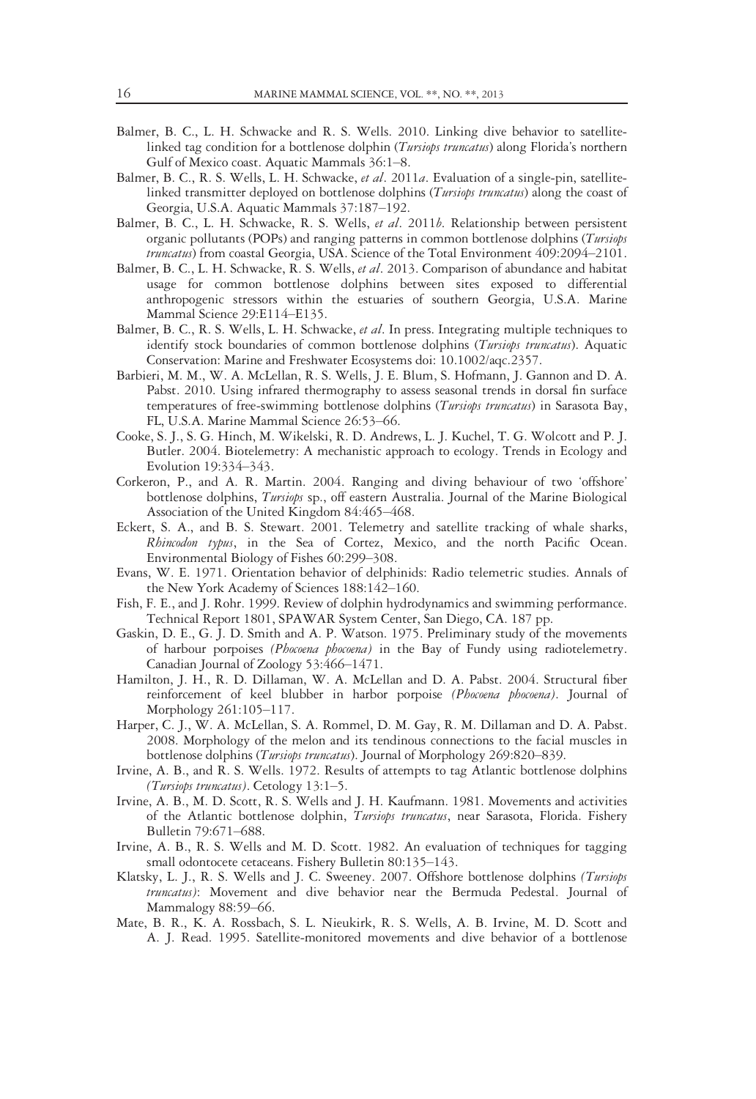- Balmer, B. C., L. H. Schwacke and R. S. Wells. 2010. Linking dive behavior to satellitelinked tag condition for a bottlenose dolphin (Tursiops truncatus) along Florida's northern Gulf of Mexico coast. Aquatic Mammals 36:1–8.
- Balmer, B. C., R. S. Wells, L. H. Schwacke, et al. 2011a. Evaluation of a single-pin, satellitelinked transmitter deployed on bottlenose dolphins (Tursiops truncatus) along the coast of Georgia, U.S.A. Aquatic Mammals 37:187–192.
- Balmer, B. C., L. H. Schwacke, R. S. Wells, et al. 2011b. Relationship between persistent organic pollutants (POPs) and ranging patterns in common bottlenose dolphins (Tursiops truncatus) from coastal Georgia, USA. Science of the Total Environment 409:2094-2101.
- Balmer, B. C., L. H. Schwacke, R. S. Wells, et al. 2013. Comparison of abundance and habitat usage for common bottlenose dolphins between sites exposed to differential anthropogenic stressors within the estuaries of southern Georgia, U.S.A. Marine Mammal Science 29:E114–E135.
- Balmer, B. C., R. S. Wells, L. H. Schwacke, et al. In press. Integrating multiple techniques to identify stock boundaries of common bottlenose dolphins (Tursiops truncatus). Aquatic Conservation: Marine and Freshwater Ecosystems doi: 10.1002/aqc.2357.
- Barbieri, M. M., W. A. McLellan, R. S. Wells, J. E. Blum, S. Hofmann, J. Gannon and D. A. Pabst. 2010. Using infrared thermography to assess seasonal trends in dorsal fin surface temperatures of free-swimming bottlenose dolphins (Tursiops truncatus) in Sarasota Bay, FL, U.S.A. Marine Mammal Science 26:53–66.
- Cooke, S. J., S. G. Hinch, M. Wikelski, R. D. Andrews, L. J. Kuchel, T. G. Wolcott and P. J. Butler. 2004. Biotelemetry: A mechanistic approach to ecology. Trends in Ecology and Evolution 19:334–343.
- Corkeron, P., and A. R. Martin. 2004. Ranging and diving behaviour of two 'offshore' bottlenose dolphins, *Tursiops* sp., off eastern Australia. Journal of the Marine Biological Association of the United Kingdom 84:465–468.
- Eckert, S. A., and B. S. Stewart. 2001. Telemetry and satellite tracking of whale sharks, Rhincodon typus, in the Sea of Cortez, Mexico, and the north Pacific Ocean. Environmental Biology of Fishes 60:299–308.
- Evans, W. E. 1971. Orientation behavior of delphinids: Radio telemetric studies. Annals of the New York Academy of Sciences 188:142–160.
- Fish, F. E., and J. Rohr. 1999. Review of dolphin hydrodynamics and swimming performance. Technical Report 1801, SPAWAR System Center, San Diego, CA. 187 pp.
- Gaskin, D. E., G. J. D. Smith and A. P. Watson. 1975. Preliminary study of the movements of harbour porpoises (Phocoena phocoena) in the Bay of Fundy using radiotelemetry. Canadian Journal of Zoology 53:466–1471.
- Hamilton, J. H., R. D. Dillaman, W. A. McLellan and D. A. Pabst. 2004. Structural fiber reinforcement of keel blubber in harbor porpoise (Phocoena phocoena). Journal of Morphology 261:105–117.
- Harper, C. J., W. A. McLellan, S. A. Rommel, D. M. Gay, R. M. Dillaman and D. A. Pabst. 2008. Morphology of the melon and its tendinous connections to the facial muscles in bottlenose dolphins (Tursiops truncatus). Journal of Morphology 269:820–839.
- Irvine, A. B., and R. S. Wells. 1972. Results of attempts to tag Atlantic bottlenose dolphins (Tursiops truncatus). Cetology 13:1–5.
- Irvine, A. B., M. D. Scott, R. S. Wells and J. H. Kaufmann. 1981. Movements and activities of the Atlantic bottlenose dolphin, Tursiops truncatus, near Sarasota, Florida. Fishery Bulletin 79:671–688.
- Irvine, A. B., R. S. Wells and M. D. Scott. 1982. An evaluation of techniques for tagging small odontocete cetaceans. Fishery Bulletin 80:135–143.
- Klatsky, L. J., R. S. Wells and J. C. Sweeney. 2007. Offshore bottlenose dolphins (Tursiops truncatus): Movement and dive behavior near the Bermuda Pedestal. Journal of Mammalogy 88:59–66.
- Mate, B. R., K. A. Rossbach, S. L. Nieukirk, R. S. Wells, A. B. Irvine, M. D. Scott and A. J. Read. 1995. Satellite-monitored movements and dive behavior of a bottlenose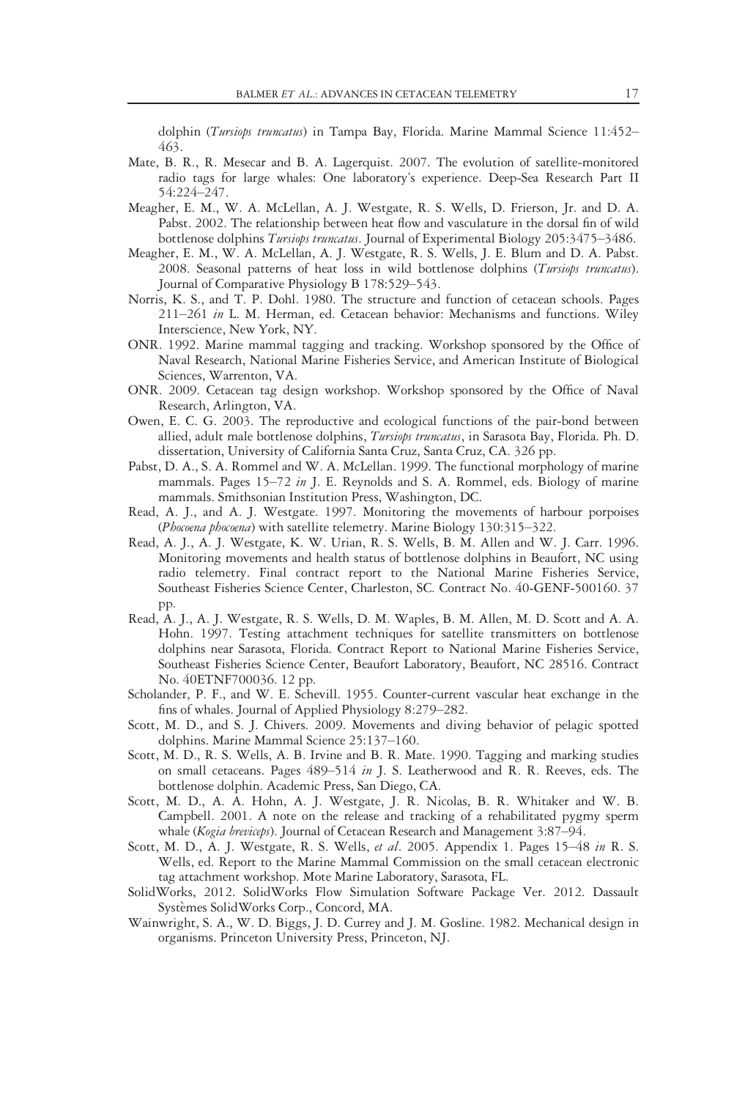dolphin (Tursiops truncatus) in Tampa Bay, Florida. Marine Mammal Science 11:452-463.

- Mate, B. R., R. Mesecar and B. A. Lagerquist. 2007. The evolution of satellite-monitored radio tags for large whales: One laboratory's experience. Deep-Sea Research Part II 54:224–247.
- Meagher, E. M., W. A. McLellan, A. J. Westgate, R. S. Wells, D. Frierson, Jr. and D. A. Pabst. 2002. The relationship between heat flow and vasculature in the dorsal fin of wild bottlenose dolphins Tursiops truncatus. Journal of Experimental Biology 205:3475–3486.
- Meagher, E. M., W. A. McLellan, A. J. Westgate, R. S. Wells, J. E. Blum and D. A. Pabst. 2008. Seasonal patterns of heat loss in wild bottlenose dolphins (Tursiops truncatus). Journal of Comparative Physiology B 178:529–543.
- Norris, K. S., and T. P. Dohl. 1980. The structure and function of cetacean schools. Pages 211–261 in L. M. Herman, ed. Cetacean behavior: Mechanisms and functions. Wiley Interscience, New York, NY.
- ONR. 1992. Marine mammal tagging and tracking. Workshop sponsored by the Office of Naval Research, National Marine Fisheries Service, and American Institute of Biological Sciences, Warrenton, VA.
- ONR. 2009. Cetacean tag design workshop. Workshop sponsored by the Office of Naval Research, Arlington, VA.
- Owen, E. C. G. 2003. The reproductive and ecological functions of the pair-bond between allied, adult male bottlenose dolphins, Tursiops truncatus, in Sarasota Bay, Florida. Ph. D. dissertation, University of California Santa Cruz, Santa Cruz, CA. 326 pp.
- Pabst, D. A., S. A. Rommel and W. A. McLellan. 1999. The functional morphology of marine mammals. Pages 15–72 in J. E. Reynolds and S. A. Rommel, eds. Biology of marine mammals. Smithsonian Institution Press, Washington, DC.
- Read, A. J., and A. J. Westgate. 1997. Monitoring the movements of harbour porpoises (Phocoena phocoena) with satellite telemetry. Marine Biology 130:315-322.
- Read, A. J., A. J. Westgate, K. W. Urian, R. S. Wells, B. M. Allen and W. J. Carr. 1996. Monitoring movements and health status of bottlenose dolphins in Beaufort, NC using radio telemetry. Final contract report to the National Marine Fisheries Service, Southeast Fisheries Science Center, Charleston, SC. Contract No. 40-GENF-500160. 37 pp.
- Read, A. J., A. J. Westgate, R. S. Wells, D. M. Waples, B. M. Allen, M. D. Scott and A. A. Hohn. 1997. Testing attachment techniques for satellite transmitters on bottlenose dolphins near Sarasota, Florida. Contract Report to National Marine Fisheries Service, Southeast Fisheries Science Center, Beaufort Laboratory, Beaufort, NC 28516. Contract No. 40ETNF700036. 12 pp.
- Scholander, P. F., and W. E. Schevill. 1955. Counter-current vascular heat exchange in the fins of whales. Journal of Applied Physiology 8:279–282.
- Scott, M. D., and S. J. Chivers. 2009. Movements and diving behavior of pelagic spotted dolphins. Marine Mammal Science 25:137–160.
- Scott, M. D., R. S. Wells, A. B. Irvine and B. R. Mate. 1990. Tagging and marking studies on small cetaceans. Pages 489–514 in J. S. Leatherwood and R. R. Reeves, eds. The bottlenose dolphin. Academic Press, San Diego, CA.
- Scott, M. D., A. A. Hohn, A. J. Westgate, J. R. Nicolas, B. R. Whitaker and W. B. Campbell. 2001. A note on the release and tracking of a rehabilitated pygmy sperm whale (Kogia breviceps). Journal of Cetacean Research and Management 3:87-94.
- Scott, M. D., A. J. Westgate, R. S. Wells, et al. 2005. Appendix 1. Pages 15–48 in R. S. Wells, ed. Report to the Marine Mammal Commission on the small cetacean electronic tag attachment workshop. Mote Marine Laboratory, Sarasota, FL.
- SolidWorks, 2012. SolidWorks Flow Simulation Software Package Ver. 2012. Dassault Systemes SolidWorks Corp., Concord, MA.
- Wainwright, S. A., W. D. Biggs, J. D. Currey and J. M. Gosline. 1982. Mechanical design in organisms. Princeton University Press, Princeton, NJ.